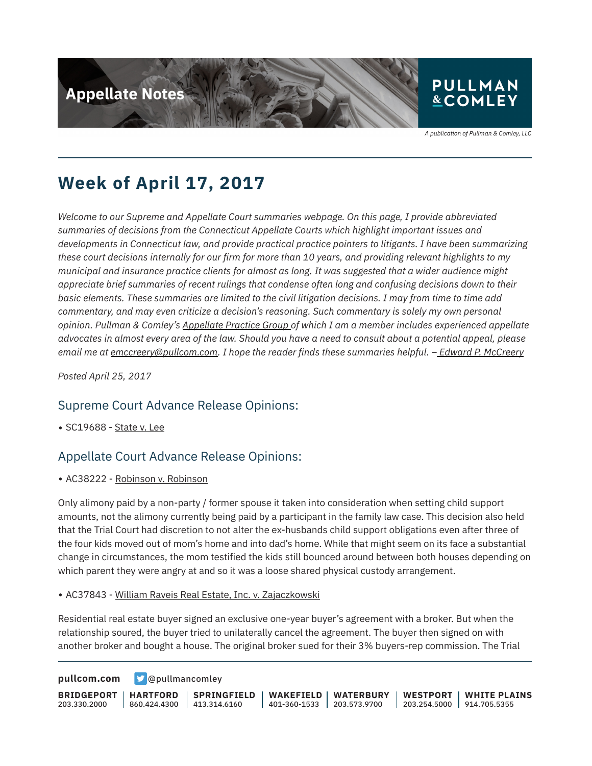

A publication of Pullman & Comley, LLC

## **Week of April 17, 2017**

*Welcome to our Supreme and Appellate Court summaries webpage. On this page, I provide abbreviated summaries of decisions from the Connecticut Appellate Courts which highlight important issues and developments in Connecticut law, and provide practical practice pointers to litigants. I have been summarizing these court decisions internally for our firm for more than 10 years, and providing relevant highlights to my municipal and insurance practice clients for almost as long. It was suggested that a wider audience might appreciate brief summaries of recent rulings that condense often long and confusing decisions down to their basic elements. These summaries are limited to the civil litigation decisions. I may from time to time add commentary, and may even criticize a decision's reasoning. Such commentary is solely my own personal opinion. Pullman & Comley's Appellate Practice Group of which I am a member includes experienced appellate advocates in almost every area of the law. Should you have a need to consult about a potential appeal, please email me at emccreery@pullcom.com. I hope the reader finds these summaries helpful. – Edward P. McCreery*

*Posted April 25, 2017*

#### Supreme Court Advance Release Opinions:

● SC19688 - State v. Lee

### Appellate Court Advance Release Opinions:

• AC38222 - Robinson v. Robinson

Only alimony paid by a non-party / former spouse it taken into consideration when setting child support amounts, not the alimony currently being paid by a participant in the family law case. This decision also held that the Trial Court had discretion to not alter the ex-husbands child support obligations even after three of the four kids moved out of mom's home and into dad's home. While that might seem on its face a substantial change in circumstances, the mom testified the kids still bounced around between both houses depending on which parent they were angry at and so it was a loose shared physical custody arrangement.

#### ● AC37843 - William Raveis Real Estate, Inc. v. Zajaczkowski

Residential real estate buyer signed an exclusive one-year buyer's agreement with a broker. But when the relationship soured, the buyer tried to unilaterally cancel the agreement. The buyer then signed on with another broker and bought a house. The original broker sued for their 3% buyers-rep commission. The Trial

**[pullcom.com](https://www.pullcom.com) g** [@pullmancomley](https://twitter.com/PullmanComley)

**BRIDGEPORT** 203.330.2000 **HARTFORD** 860.424.4300 **SPRINGFIELD** 413.314.6160 **WAKEFIELD** 401-360-1533 **WATERBURY** 203.573.9700 **WESTPORT** 203.254.5000 914.705.5355 **WHITE PLAINS**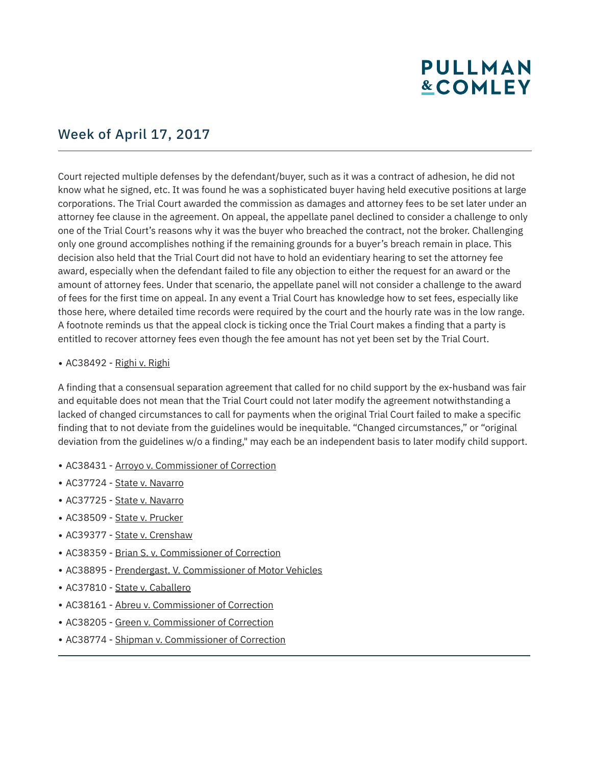# **PULLMAN &COMLEY**

### Week of April 17, 2017

Court rejected multiple defenses by the defendant/buyer, such as it was a contract of adhesion, he did not know what he signed, etc. It was found he was a sophisticated buyer having held executive positions at large corporations. The Trial Court awarded the commission as damages and attorney fees to be set later under an attorney fee clause in the agreement. On appeal, the appellate panel declined to consider a challenge to only one of the Trial Court's reasons why it was the buyer who breached the contract, not the broker. Challenging only one ground accomplishes nothing if the remaining grounds for a buyer's breach remain in place. This decision also held that the Trial Court did not have to hold an evidentiary hearing to set the attorney fee award, especially when the defendant failed to file any objection to either the request for an award or the amount of attorney fees. Under that scenario, the appellate panel will not consider a challenge to the award of fees for the first time on appeal. In any event a Trial Court has knowledge how to set fees, especially like those here, where detailed time records were required by the court and the hourly rate was in the low range. A footnote reminds us that the appeal clock is ticking once the Trial Court makes a finding that a party is entitled to recover attorney fees even though the fee amount has not yet been set by the Trial Court.

#### $\bullet$  AC38492 - Righi v. Righi

A finding that a consensual separation agreement that called for no child support by the ex-husband was fair and equitable does not mean that the Trial Court could not later modify the agreement notwithstanding a lacked of changed circumstances to call for payments when the original Trial Court failed to make a specific finding that to not deviate from the guidelines would be inequitable. "Changed circumstances," or "original deviation from the guidelines w/o a finding," may each be an independent basis to later modify child support.

- AC38431 Arroyo v. Commissioner of Correction
- AC37724 State v. Navarro
- AC37725 State v. Navarro
- AC38509 State v. Prucker
- AC39377 State v. Crenshaw
- AC38359 Brian S. v. Commissioner of Correction
- AC38895 Prendergast. V. Commissioner of Motor Vehicles
- AC37810 State v. Caballero

l

- AC38161 Abreu v. Commissioner of Correction
- AC38205 Green v. Commissioner of Correction
- AC38774 Shipman v. Commissioner of Correction